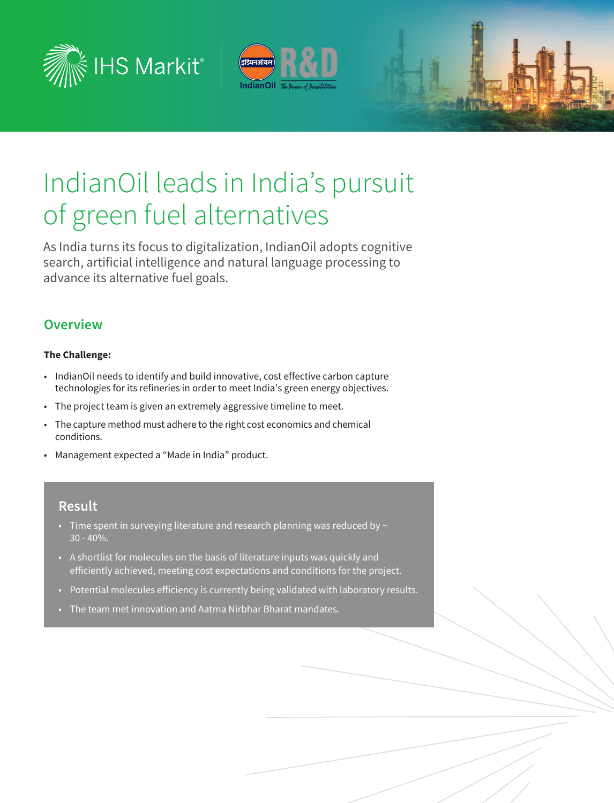



# IndianOil leads in India's pursuit of green fuel alternatives

As India turns its focus to digitalization, IndianOil adopts cognitive search, artificial intelligence and natural language processing to advance its alternative fuel goals.

## **Overview**

#### **The Challenge:**

- IndianOil needs to identify and build innovative, cost effective carbon capture technologies for its refineries in order to meet India's green energy objectives.
- The project team is given an extremely aggressive timeline to meet.
- The capture method must adhere to the right cost economics and chemical conditions.
- Management expected a "Made in India" product.

### **Result**

- Time spent in surveying literature and research planning was reduced by  $\sim$ 30 - 40%.
- A shortlist for molecules on the basis of literature inputs was quickly and efficiently achieved, meeting cost expectations and conditions for the project.
- Potential molecules efficiency is currently being validated with laboratory results.
- The team met innovation and Aatma Nirbhar Bharat mandates.